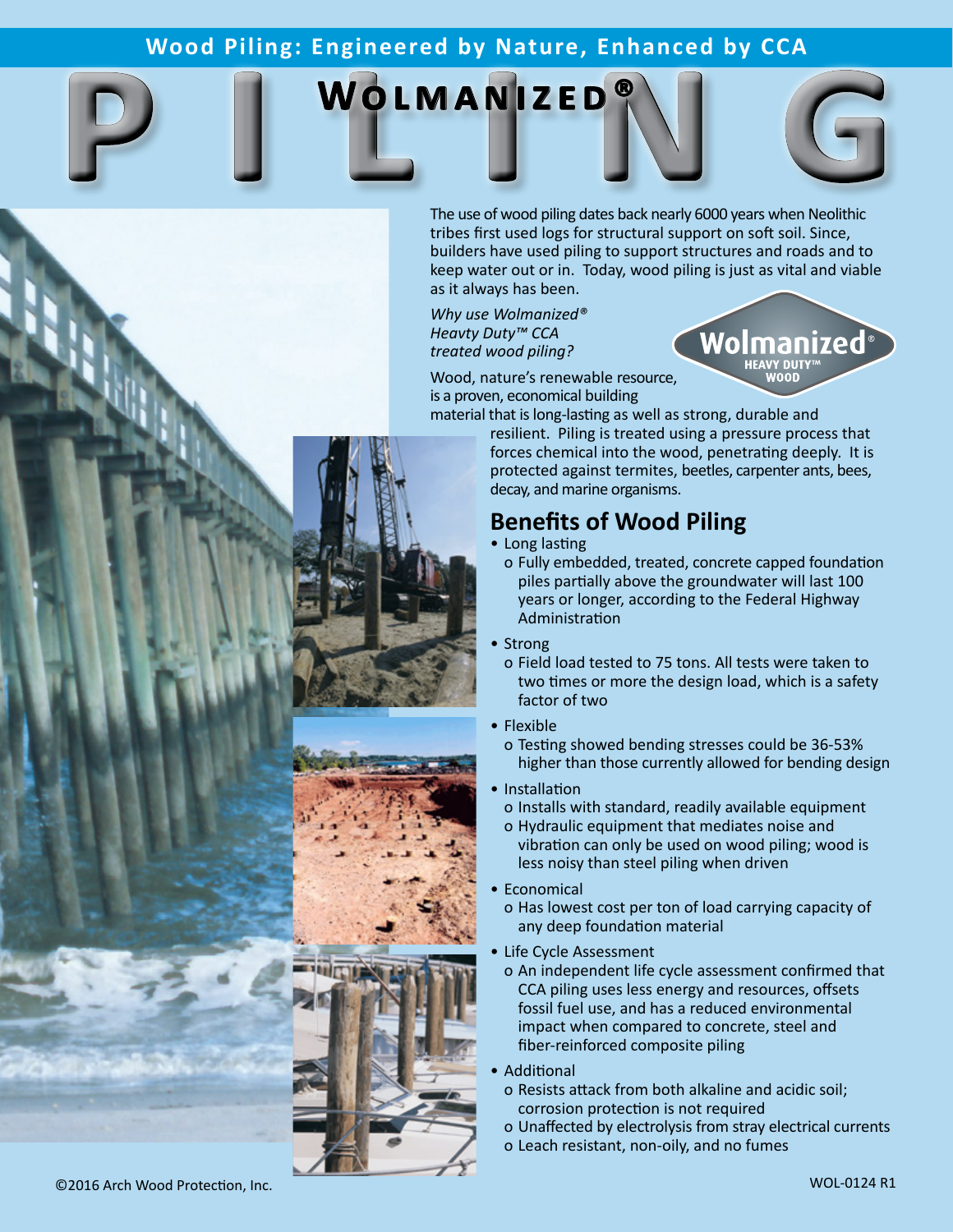# Wood Piling: Engineered by Nature, Enhanced by CCA<br> **pilot MANIZED**<br>
The use of wood piling dates back nearly 6000 years when Neolithic **Wood Piling: Engineered by Nature, Enhanced by CCA**

## **WOLMANIZED**



Wolmanized<sup>®</sup>

The use of wood piling dates back nearly 6000 years when Neolithic tribes first used logs for structural support on soft soil. Since, builders have used piling to support structures and roads and to keep water out or in. Today, wood piling is just as vital and viable as it always has been.

*Why use Wolmanized® Heavty Duty™ CCA treated wood piling?*

Wood, nature's renewable resource, is a proven, economical building

material that is long-lasting as well as strong, durable and resilient. Piling is treated using a pressure process that forces chemical into the wood, penetrating deeply. It is protected against termites, beetles, carpenter ants, bees, decay, and marine organisms.

#### **Benefits of Wood Piling**

- Long lasting
	- o Fully embedded, treated, concrete capped foundation piles partially above the groundwater will last 100 years or longer, according to the Federal Highway Administration
- Strong
	- o Field load tested to 75 tons. All tests were taken to two times or more the design load, which is a safety factor of two
- Flexible
- o Testing showed bending stresses could be 36-53% higher than those currently allowed for bending design
- Installation
	- o Installs with standard, readily available equipment
	- o Hydraulic equipment that mediates noise and vibration can only be used on wood piling; wood is less noisy than steel piling when driven
- Economical

o Has lowest cost per ton of load carrying capacity of any deep foundation material

- Life Cycle Assessment
	- o An independent life cycle assessment confirmed that CCA piling uses less energy and resources, offsets fossil fuel use, and has a reduced environmental impact when compared to concrete, steel and fiber-reinforced composite piling
- **Additional**
- o Resists attack from both alkaline and acidic soil; corrosion protection is not required
- o Unaffected by electrolysis from stray electrical currents
- o Leach resistant, non-oily, and no fumes